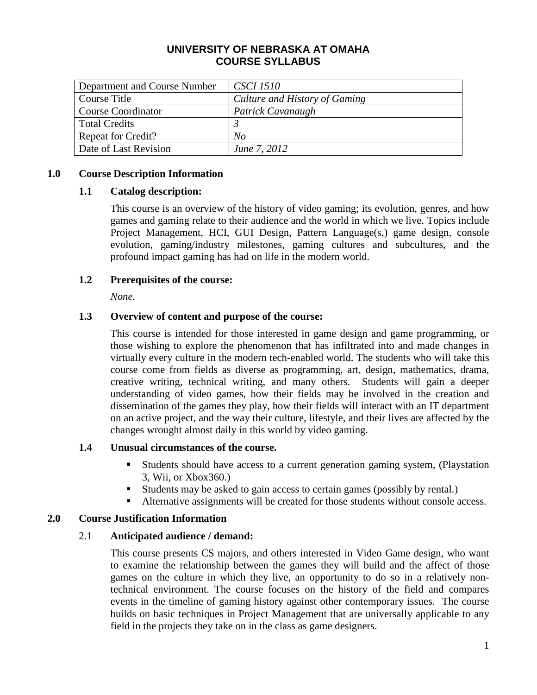### **UNIVERSITY OF NEBRASKA AT OMAHA COURSE SYLLABUS**

| Department and Course Number | <i>CSCI 1510</i>              |
|------------------------------|-------------------------------|
| Course Title                 | Culture and History of Gaming |
| <b>Course Coordinator</b>    | Patrick Cavanaugh             |
| <b>Total Credits</b>         |                               |
| <b>Repeat for Credit?</b>    | No                            |
| Date of Last Revision        | June 7, 2012                  |

### **1.0 Course Description Information**

### **1.1 Catalog description:**

This course is an overview of the history of video gaming; its evolution, genres, and how games and gaming relate to their audience and the world in which we live. Topics include Project Management, HCI, GUI Design, Pattern Language(s,) game design, console evolution, gaming/industry milestones, gaming cultures and subcultures, and the profound impact gaming has had on life in the modern world.

### **1.2 Prerequisites of the course:**

*None.*

### **1.3 Overview of content and purpose of the course:**

This course is intended for those interested in game design and game programming, or those wishing to explore the phenomenon that has infiltrated into and made changes in virtually every culture in the modern tech-enabled world. The students who will take this course come from fields as diverse as programming, art, design, mathematics, drama, creative writing, technical writing, and many others. Students will gain a deeper understanding of video games, how their fields may be involved in the creation and dissemination of the games they play, how their fields will interact with an IT department on an active project, and the way their culture, lifestyle, and their lives are affected by the changes wrought almost daily in this world by video gaming.

#### **1.4 Unusual circumstances of the course.**

- Students should have access to a current generation gaming system, (Playstation 3, Wii, or Xbox360.)
- Students may be asked to gain access to certain games (possibly by rental.)
- Alternative assignments will be created for those students without console access.

## **2.0 Course Justification Information**

## 2.1 **Anticipated audience / demand:**

This course presents CS majors, and others interested in Video Game design, who want to examine the relationship between the games they will build and the affect of those games on the culture in which they live, an opportunity to do so in a relatively nontechnical environment. The course focuses on the history of the field and compares events in the timeline of gaming history against other contemporary issues. The course builds on basic techniques in Project Management that are universally applicable to any field in the projects they take on in the class as game designers.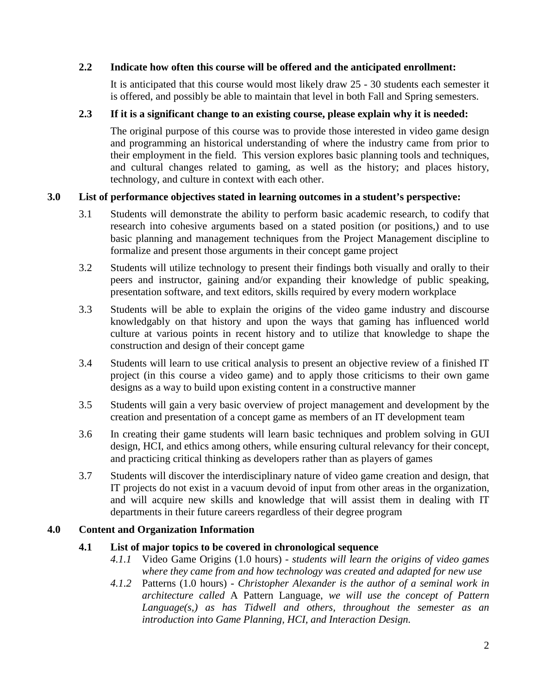## **2.2 Indicate how often this course will be offered and the anticipated enrollment:**

It is anticipated that this course would most likely draw 25 - 30 students each semester it is offered, and possibly be able to maintain that level in both Fall and Spring semesters.

## **2.3 If it is a significant change to an existing course, please explain why it is needed:**

The original purpose of this course was to provide those interested in video game design and programming an historical understanding of where the industry came from prior to their employment in the field. This version explores basic planning tools and techniques, and cultural changes related to gaming, as well as the history; and places history, technology, and culture in context with each other.

## **3.0 List of performance objectives stated in learning outcomes in a student's perspective:**

- 3.1 Students will demonstrate the ability to perform basic academic research, to codify that research into cohesive arguments based on a stated position (or positions,) and to use basic planning and management techniques from the Project Management discipline to formalize and present those arguments in their concept game project
- 3.2 Students will utilize technology to present their findings both visually and orally to their peers and instructor, gaining and/or expanding their knowledge of public speaking, presentation software, and text editors, skills required by every modern workplace
- 3.3 Students will be able to explain the origins of the video game industry and discourse knowledgably on that history and upon the ways that gaming has influenced world culture at various points in recent history and to utilize that knowledge to shape the construction and design of their concept game
- 3.4 Students will learn to use critical analysis to present an objective review of a finished IT project (in this course a video game) and to apply those criticisms to their own game designs as a way to build upon existing content in a constructive manner
- 3.5 Students will gain a very basic overview of project management and development by the creation and presentation of a concept game as members of an IT development team
- 3.6 In creating their game students will learn basic techniques and problem solving in GUI design, HCI, and ethics among others, while ensuring cultural relevancy for their concept, and practicing critical thinking as developers rather than as players of games
- 3.7 Students will discover the interdisciplinary nature of video game creation and design, that IT projects do not exist in a vacuum devoid of input from other areas in the organization, and will acquire new skills and knowledge that will assist them in dealing with IT departments in their future careers regardless of their degree program

## **4.0 Content and Organization Information**

## **4.1 List of major topics to be covered in chronological sequence**

- *4.1.1* Video Game Origins (1.0 hours) *students will learn the origins of video games where they came from and how technology was created and adapted for new use*
- *4.1.2* Patterns (1.0 hours) *Christopher Alexander is the author of a seminal work in architecture called* A Pattern Language, *we will use the concept of Pattern Language(s,) as has Tidwell and others, throughout the semester as an introduction into Game Planning, HCI, and Interaction Design.*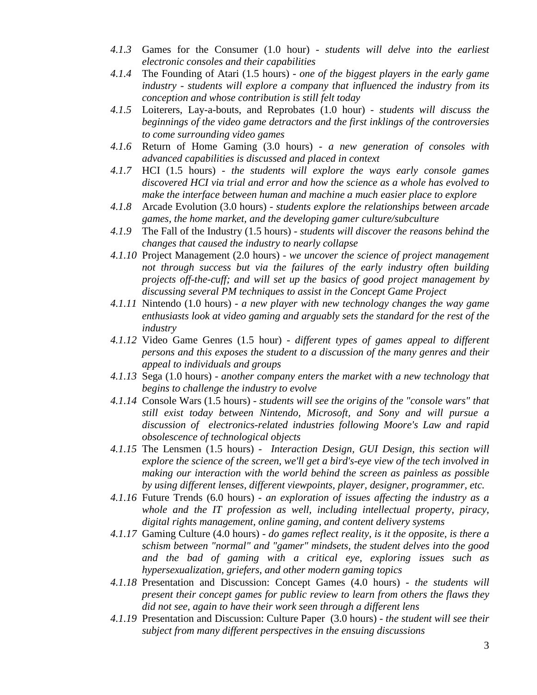- *4.1.3* Games for the Consumer (1.0 hour) *students will delve into the earliest electronic consoles and their capabilities*
- *4.1.4* The Founding of Atari (1.5 hours) *one of the biggest players in the early game industry - students will explore a company that influenced the industry from its conception and whose contribution is still felt today*
- *4.1.5* Loiterers, Lay-a-bouts, and Reprobates (1.0 hour) *students will discuss the beginnings of the video game detractors and the first inklings of the controversies to come surrounding video games*
- *4.1.6* Return of Home Gaming (3.0 hours) *a new generation of consoles with advanced capabilities is discussed and placed in context*
- *4.1.7* HCI (1.5 hours) *the students will explore the ways early console games discovered HCI via trial and error and how the science as a whole has evolved to make the interface between human and machine a much easier place to explore*
- *4.1.8* Arcade Evolution (3.0 hours) *students explore the relationships between arcade games, the home market, and the developing gamer culture/subculture*
- *4.1.9* The Fall of the Industry (1.5 hours) *students will discover the reasons behind the changes that caused the industry to nearly collapse*
- *4.1.10* Project Management (2.0 hours) *we uncover the science of project management not through success but via the failures of the early industry often building projects off-the-cuff; and will set up the basics of good project management by discussing several PM techniques to assist in the Concept Game Project*
- *4.1.11* Nintendo (1.0 hours) *a new player with new technology changes the way game enthusiasts look at video gaming and arguably sets the standard for the rest of the industry*
- *4.1.12* Video Game Genres (1.5 hour) *different types of games appeal to different persons and this exposes the student to a discussion of the many genres and their appeal to individuals and groups*
- *4.1.13* Sega (1.0 hours) *another company enters the market with a new technology that begins to challenge the industry to evolve*
- *4.1.14* Console Wars (1.5 hours) *students will see the origins of the "console wars" that still exist today between Nintendo, Microsoft, and Sony and will pursue a discussion of electronics-related industries following Moore's Law and rapid obsolescence of technological objects*
- *4.1.15* The Lensmen (1.5 hours) - *Interaction Design, GUI Design, this section will explore the science of the screen, we'll get a bird's-eye view of the tech involved in making our interaction with the world behind the screen as painless as possible by using different lenses, different viewpoints, player, designer, programmer, etc.*
- *4.1.16* Future Trends (6.0 hours) *an exploration of issues affecting the industry as a whole and the IT profession as well, including intellectual property, piracy, digital rights management, online gaming, and content delivery systems*
- *4.1.17* Gaming Culture (4.0 hours) *do games reflect reality, is it the opposite, is there a schism between "normal" and "gamer" mindsets, the student delves into the good and the bad of gaming with a critical eye, exploring issues such as hypersexualization, griefers, and other modern gaming topics*
- *4.1.18* Presentation and Discussion: Concept Games (4.0 hours) *the students will present their concept games for public review to learn from others the flaws they did not see, again to have their work seen through a different lens*
- *4.1.19* Presentation and Discussion: Culture Paper (3.0 hours) *the student will see their subject from many different perspectives in the ensuing discussions*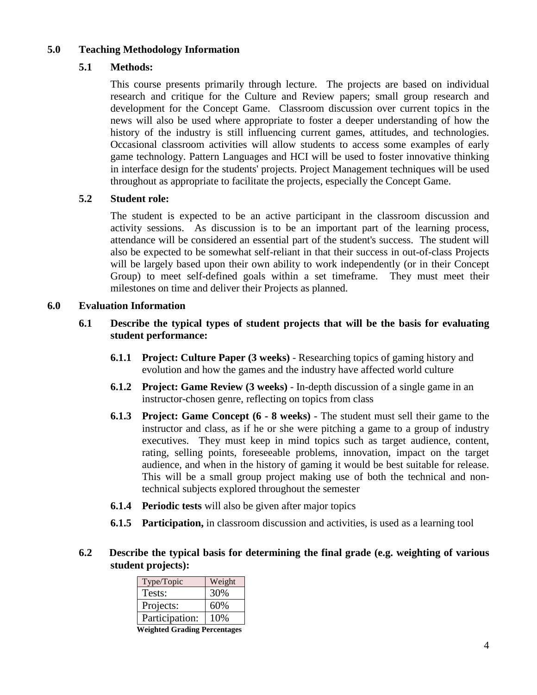### **5.0 Teaching Methodology Information**

### **5.1 Methods:**

This course presents primarily through lecture. The projects are based on individual research and critique for the Culture and Review papers; small group research and development for the Concept Game. Classroom discussion over current topics in the news will also be used where appropriate to foster a deeper understanding of how the history of the industry is still influencing current games, attitudes, and technologies. Occasional classroom activities will allow students to access some examples of early game technology. Pattern Languages and HCI will be used to foster innovative thinking in interface design for the students' projects. Project Management techniques will be used throughout as appropriate to facilitate the projects, especially the Concept Game.

#### **5.2 Student role:**

The student is expected to be an active participant in the classroom discussion and activity sessions. As discussion is to be an important part of the learning process, attendance will be considered an essential part of the student's success. The student will also be expected to be somewhat self-reliant in that their success in out-of-class Projects will be largely based upon their own ability to work independently (or in their Concept Group) to meet self-defined goals within a set timeframe. They must meet their milestones on time and deliver their Projects as planned.

### **6.0 Evaluation Information**

- **6.1 Describe the typical types of student projects that will be the basis for evaluating student performance:**
	- **6.1.1 Project: Culture Paper (3 weeks)** Researching topics of gaming history and evolution and how the games and the industry have affected world culture
	- **6.1.2 Project: Game Review (3 weeks)**  In-depth discussion of a single game in an instructor-chosen genre, reflecting on topics from class
	- **6.1.3 Project: Game Concept (6 - 8 weeks)** The student must sell their game to the instructor and class, as if he or she were pitching a game to a group of industry executives. They must keep in mind topics such as target audience, content, rating, selling points, foreseeable problems, innovation, impact on the target audience, and when in the history of gaming it would be best suitable for release. This will be a small group project making use of both the technical and nontechnical subjects explored throughout the semester
	- **6.1.4 Periodic tests** will also be given after major topics
	- **6.1.5 Participation,** in classroom discussion and activities, is used as a learning tool

## **6.2 Describe the typical basis for determining the final grade (e.g. weighting of various student projects):**

| Weight |
|--------|
| 30%    |
| 60%    |
| 10%    |
|        |

**Weighted Grading Percentages**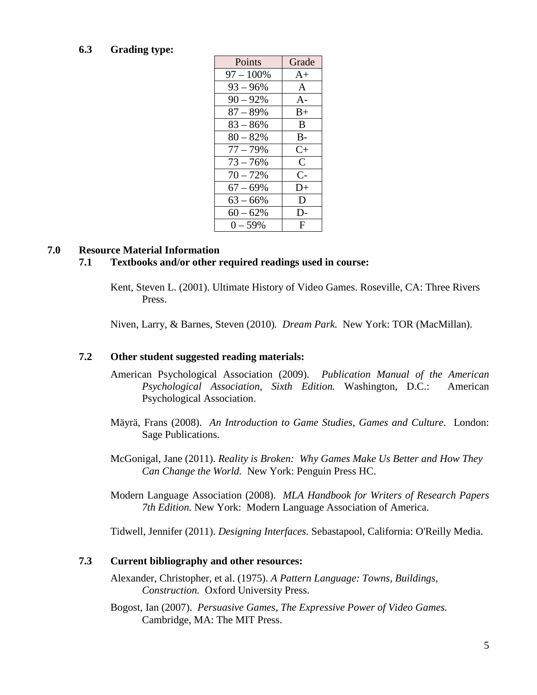#### **6.3 Grading type:**

| Points       | Grade         |
|--------------|---------------|
| $97 - 100\%$ | $A+$          |
| $93 - 96\%$  | $\mathsf{A}$  |
| $90 - 92%$   | $A -$         |
| $87 - 89\%$  | $B+$          |
| $83 - 86\%$  | <sub>B</sub>  |
| $80 - 82%$   | $B -$         |
| $77 - 79%$   | $C+$          |
| $73 - 76%$   | $\mathcal{C}$ |
| $70 - 72%$   | $C-$          |
| $67 - 69\%$  | $D+$          |
| $63 - 66\%$  | D             |
| $60 - 62%$   | D-            |
| $0 - 59%$    | F             |

#### **7.0 Resource Material Information**

#### **7.1 Textbooks and/or other required readings used in course:**

Kent, Steven L. (2001). Ultimate History of Video Games. Roseville, CA: Three Rivers Press.

Niven, Larry, & Barnes, Steven (2010)*. Dream Park.* New York: TOR (MacMillan).

#### **7.2 Other student suggested reading materials:**

- American Psychological Association (2009). *Publication Manual of the American Psychological Association, Sixth Edition.* Washington, D.C.: American Psychological Association.
- Mäyrä*,* Frans (2008). *An Introduction to Game Studies, Games and Culture*. London: Sage Publications.
- McGonigal, Jane (2011). *Reality is Broken: Why Games Make Us Better and How They Can Change the World.* New York: Penguin Press HC.
- Modern Language Association (2008). *MLA Handbook for Writers of Research Papers 7th Edition.* New York: Modern Language Association of America.

Tidwell, Jennifer (2011). *Designing Interfaces.* Sebastapool, California: O'Reilly Media.

#### **7.3 Current bibliography and other resources:**

- Alexander, Christopher, et al. (1975). *A Pattern Language: Towns, Buildings, Construction.* Oxford University Press.
- Bogost, Ian (2007). *Persuasive Games, The Expressive Power of Video Games.* Cambridge, MA: The MIT Press.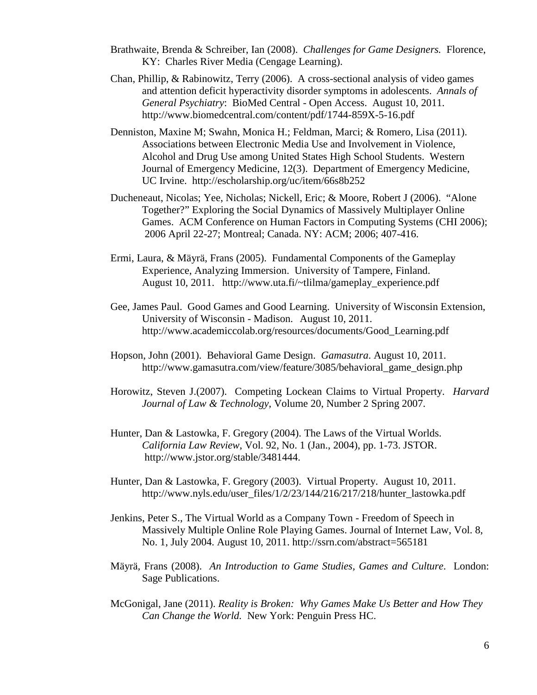- Brathwaite, Brenda & Schreiber, Ian (2008). *Challenges for Game Designers.* Florence, KY: Charles River Media (Cengage Learning).
- Chan, Phillip, & Rabinowitz, Terry (2006). A cross-sectional analysis of video games and attention deficit hyperactivity disorder symptoms in adolescents. *Annals of General Psychiatry*: BioMed Central - Open Access. August 10, 2011. http://www.biomedcentral.com/content/pdf/1744-859X-5-16.pdf
- Denniston, Maxine M; Swahn, Monica H.; Feldman, Marci; & Romero, Lisa (2011). Associations between Electronic Media Use and Involvement in Violence, Alcohol and Drug Use among United States High School Students. Western Journal of Emergency Medicine, 12(3). Department of Emergency Medicine, UC Irvine. http://escholarship.org/uc/item/66s8b252
- Ducheneaut, Nicolas; Yee, Nicholas; Nickell, Eric; & Moore, Robert J (2006). "Alone Together?" Exploring the Social Dynamics of Massively Multiplayer Online Games. ACM Conference on Human Factors in Computing Systems (CHI 2006); 2006 April 22-27; Montreal; Canada. NY: ACM; 2006; 407-416.
- Ermi, Laura, & Mäyrä, Frans (2005). Fundamental Components of the Gameplay Experience, Analyzing Immersion. University of Tampere, Finland. August 10, 2011. http://www.uta.fi/~tlilma/gameplay\_experience.pdf
- Gee, James Paul. Good Games and Good Learning. University of Wisconsin Extension, University of Wisconsin - Madison. August 10, 2011. http://www.academiccolab.org/resources/documents/Good\_Learning.pdf
- Hopson, John (2001). Behavioral Game Design. *Gamasutra*. August 10, 2011. http://www.gamasutra.com/view/feature/3085/behavioral\_game\_design.php
- Horowitz, Steven J.(2007). Competing Lockean Claims to Virtual Property. *Harvard Journal of Law & Technology,* Volume 20, Number 2 Spring 2007.
- Hunter, Dan & Lastowka, F. Gregory (2004). The Laws of the Virtual Worlds. *California Law Review*, Vol. 92, No. 1 (Jan., 2004), pp. 1-73. JSTOR. http://www.jstor.org/stable/3481444.
- Hunter, Dan & Lastowka, F. Gregory (2003). Virtual Property. August 10, 2011. http://www.nyls.edu/user\_files/1/2/23/144/216/217/218/hunter\_lastowka.pdf
- Jenkins, Peter S., The Virtual World as a Company Town Freedom of Speech in Massively Multiple Online Role Playing Games. Journal of Internet Law, Vol. 8, No. 1, July 2004. August 10, 2011. http://ssrn.com/abstract=565181
- Mäyrä*,* Frans (2008). *An Introduction to Game Studies, Games and Culture*. London: Sage Publications.
- McGonigal, Jane (2011). *Reality is Broken: Why Games Make Us Better and How They Can Change the World.* New York: Penguin Press HC.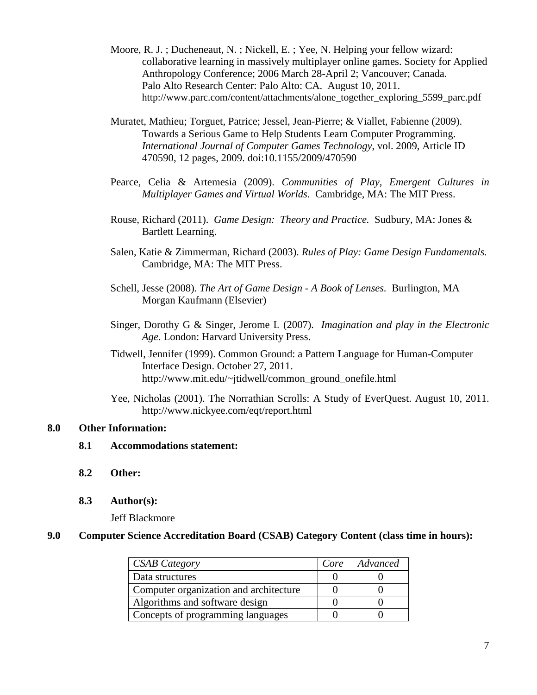- Moore, R. J. ; Ducheneaut, N. ; Nickell, E. ; Yee, N. Helping your fellow wizard: collaborative learning in massively multiplayer online games. Society for Applied Anthropology Conference; 2006 March 28-April 2; Vancouver; Canada. Palo Alto Research Center: Palo Alto: CA. August 10, 2011. http://www.parc.com/content/attachments/alone\_together\_exploring\_5599\_parc.pdf
- Muratet, Mathieu; Torguet, Patrice; Jessel, Jean-Pierre; & Viallet, Fabienne (2009). Towards a Serious Game to Help Students Learn Computer Programming. *International Journal of Computer Games Technology*, vol. 2009, Article ID 470590, 12 pages, 2009. doi:10.1155/2009/470590
- Pearce, Celia & Artemesia (2009). *Communities of Play, Emergent Cultures in Multiplayer Games and Virtual Worlds.* Cambridge, MA: The MIT Press.
- Rouse, Richard (2011). *Game Design: Theory and Practice.* Sudbury, MA: Jones & Bartlett Learning.
- Salen, Katie & Zimmerman, Richard (2003). *Rules of Play: Game Design Fundamentals.* Cambridge, MA: The MIT Press.
- Schell, Jesse (2008). *The Art of Game Design - A Book of Lenses.* Burlington, MA Morgan Kaufmann (Elsevier)
- Singer, Dorothy G & Singer, Jerome L (2007). *Imagination and play in the Electronic Age.* London: Harvard University Press.
- Tidwell, Jennifer (1999). Common Ground: a Pattern Language for Human-Computer Interface Design. October 27, 2011. http://www.mit.edu/~jtidwell/common\_ground\_onefile.html
- Yee, Nicholas (2001). The Norrathian Scrolls: A Study of EverQuest. August 10, 2011. http://www.nickyee.com/eqt/report.html

#### **8.0 Other Information:**

- **8.1 Accommodations statement:**
- **8.2 Other:**
- **8.3 Author(s):**

Jeff Blackmore

### **9.0 Computer Science Accreditation Board (CSAB) Category Content (class time in hours):**

| <b>CSAB Category</b>                   | Core | Advanced |
|----------------------------------------|------|----------|
| Data structures                        |      |          |
| Computer organization and architecture |      |          |
| Algorithms and software design         |      |          |
| Concepts of programming languages      |      |          |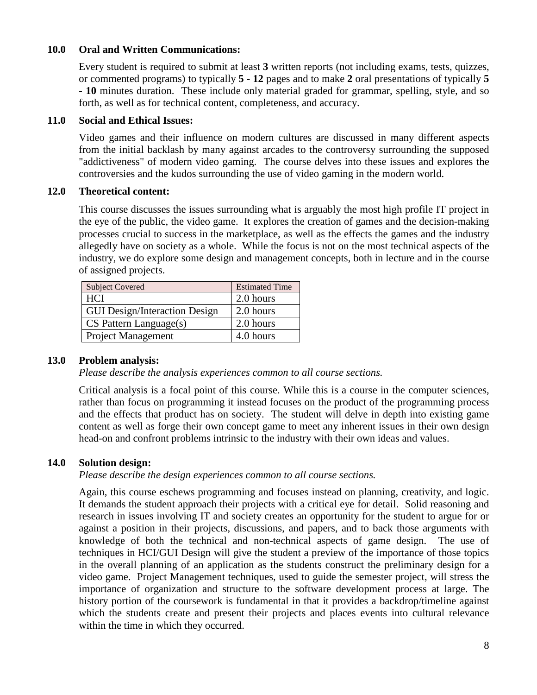#### **10.0 Oral and Written Communications:**

Every student is required to submit at least **3** written reports (not including exams, tests, quizzes, or commented programs) to typically **5 - 12** pages and to make **2** oral presentations of typically **5 - 10** minutes duration. These include only material graded for grammar, spelling, style, and so forth, as well as for technical content, completeness, and accuracy.

#### **11.0 Social and Ethical Issues:**

Video games and their influence on modern cultures are discussed in many different aspects from the initial backlash by many against arcades to the controversy surrounding the supposed "addictiveness" of modern video gaming. The course delves into these issues and explores the controversies and the kudos surrounding the use of video gaming in the modern world.

### **12.0 Theoretical content:**

This course discusses the issues surrounding what is arguably the most high profile IT project in the eye of the public, the video game. It explores the creation of games and the decision-making processes crucial to success in the marketplace, as well as the effects the games and the industry allegedly have on society as a whole. While the focus is not on the most technical aspects of the industry, we do explore some design and management concepts, both in lecture and in the course of assigned projects.

| <b>Subject Covered</b>               | <b>Estimated Time</b> |
|--------------------------------------|-----------------------|
| <b>HCI</b>                           | 2.0 hours             |
| <b>GUI Design/Interaction Design</b> | 2.0 hours             |
| $CS$ Pattern Language $(s)$          | 2.0 hours             |
| <b>Project Management</b>            | 4.0 hours             |

## **13.0 Problem analysis:**

*Please describe the analysis experiences common to all course sections.*

Critical analysis is a focal point of this course. While this is a course in the computer sciences, rather than focus on programming it instead focuses on the product of the programming process and the effects that product has on society. The student will delve in depth into existing game content as well as forge their own concept game to meet any inherent issues in their own design head-on and confront problems intrinsic to the industry with their own ideas and values.

## **14.0 Solution design:**

#### *Please describe the design experiences common to all course sections.*

Again, this course eschews programming and focuses instead on planning, creativity, and logic. It demands the student approach their projects with a critical eye for detail. Solid reasoning and research in issues involving IT and society creates an opportunity for the student to argue for or against a position in their projects, discussions, and papers, and to back those arguments with knowledge of both the technical and non-technical aspects of game design. The use of techniques in HCI/GUI Design will give the student a preview of the importance of those topics in the overall planning of an application as the students construct the preliminary design for a video game. Project Management techniques, used to guide the semester project, will stress the importance of organization and structure to the software development process at large. The history portion of the coursework is fundamental in that it provides a backdrop/timeline against which the students create and present their projects and places events into cultural relevance within the time in which they occurred.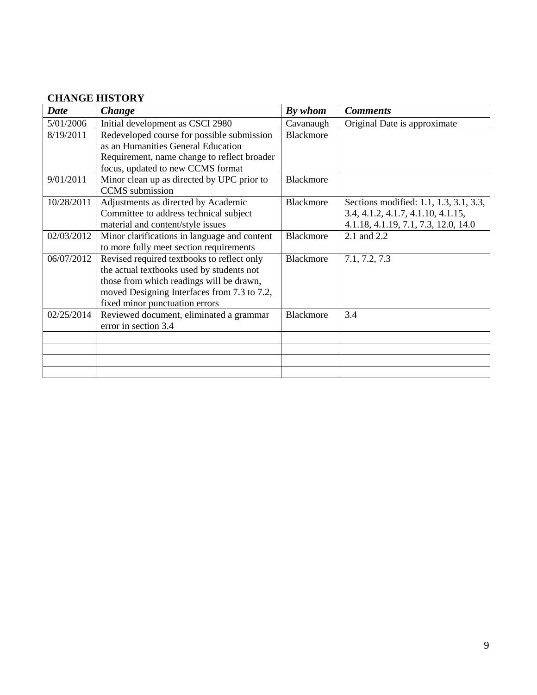# **CHANGE HISTORY**

| <b>Date</b> | Change                                       | By whom          | <b>Comments</b>                        |
|-------------|----------------------------------------------|------------------|----------------------------------------|
| 5/01/2006   | Initial development as CSCI 2980             | Cavanaugh        | Original Date is approximate           |
| 8/19/2011   | Redeveloped course for possible submission   | <b>Blackmore</b> |                                        |
|             | as an Humanities General Education           |                  |                                        |
|             | Requirement, name change to reflect broader  |                  |                                        |
|             | focus, updated to new CCMS format            |                  |                                        |
| 9/01/2011   | Minor clean up as directed by UPC prior to   | <b>Blackmore</b> |                                        |
|             | <b>CCMS</b> submission                       |                  |                                        |
| 10/28/2011  | Adjustments as directed by Academic          | Blackmore        | Sections modified: 1.1, 1.3, 3.1, 3.3, |
|             | Committee to address technical subject       |                  | 3.4, 4.1.2, 4.1.7, 4.1.10, 4.1.15,     |
|             | material and content/style issues            |                  | 4.1.18, 4.1.19, 7.1, 7.3, 12.0, 14.0   |
| 02/03/2012  | Minor clarifications in language and content | Blackmore        | 2.1 and 2.2                            |
|             | to more fully meet section requirements      |                  |                                        |
| 06/07/2012  | Revised required textbooks to reflect only   | Blackmore        | 7.1, 7.2, 7.3                          |
|             | the actual textbooks used by students not    |                  |                                        |
|             | those from which readings will be drawn,     |                  |                                        |
|             | moved Designing Interfaces from 7.3 to 7.2,  |                  |                                        |
|             | fixed minor punctuation errors               |                  |                                        |
| 02/25/2014  | Reviewed document, eliminated a grammar      | <b>Blackmore</b> | 3.4                                    |
|             | error in section 3.4                         |                  |                                        |
|             |                                              |                  |                                        |
|             |                                              |                  |                                        |
|             |                                              |                  |                                        |
|             |                                              |                  |                                        |